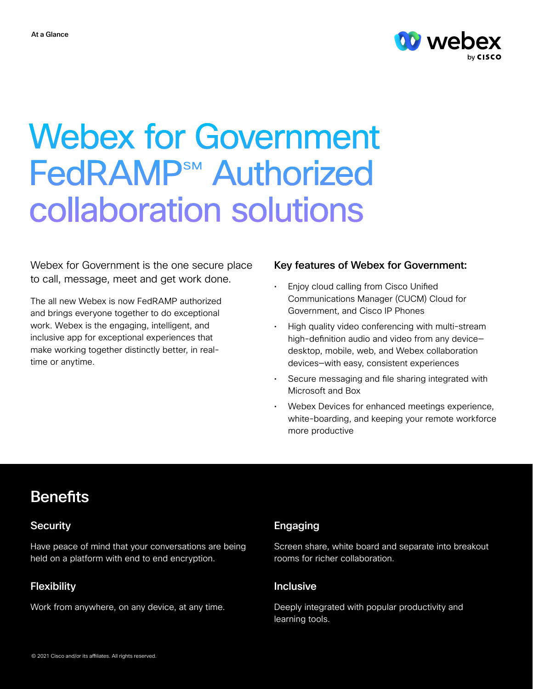

# Webex for Government **FedRAMP<sup>SM</sup>** Authorized collaboration solutions

Webex for Government is the one secure place to call, message, meet and get work done.

The all new Webex is now FedRAMP authorized and brings everyone together to do exceptional work. Webex is the engaging, intelligent, and inclusive app for exceptional experiences that make working together distinctly better, in realtime or anytime.

# Key features of Webex for Government:

- Enjoy cloud calling from Cisco Unified Communications Manager (CUCM) Cloud for Government, and Cisco IP Phones
- High quality video conferencing with multi-stream high-definition audio and video from any device desktop, mobile, web, and Webex collaboration devices—with easy, consistent experiences
- Secure messaging and file sharing integrated with Microsoft and Box
- Webex Devices for enhanced meetings experience, white-boarding, and keeping your remote workforce more productive

# **Benefits**

Have peace of mind that your conversations are being held on a platform with end to end encryption.

# Flexibility **Inclusive Inclusive**

Work from anywhere, on any device, at any time. Deeply integrated with popular productivity and

# Security **Engaging**

Screen share, white board and separate into breakout rooms for richer collaboration.

learning tools.